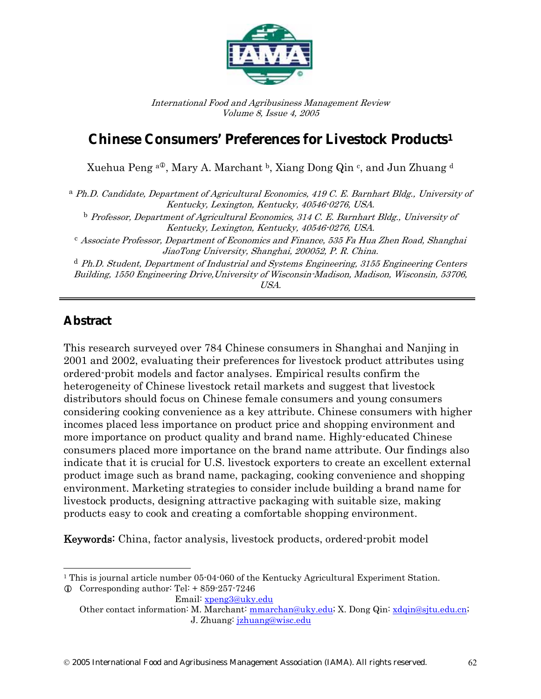

International Food and Agribusiness Management Review Volume 8, Issue 4, 2005

# **Chinese Consumers' Preferences for Livestock Products1**

Xuehua Peng  $a^{\text{D}}$ , Mary A. Marchant b, Xiang Dong Qin c, and Jun Zhuang d

a Ph.D. Candidate, Department of Agricultural Economics, 419 C. E. Barnhart Bldg., University of Kentucky, Lexington, Kentucky, 40546-0276, USA.

<sup>b</sup> Professor, Department of Agricultural Economics, 314 C. E. Barnhart Bldg., University of Kentucky, Lexington, Kentucky, 40546-0276, USA.

<sup>c</sup> Associate Professor, Department of Economics and Finance, 535 Fa Hua Zhen Road, Shanghai JiaoTong University, Shanghai, 200052, P. R. China.

 $d$  Ph.D. Student, Department of Industrial and Systems Engineering, 3155 Engineering Centers Building, 1550 Engineering Drive,University of Wisconsin-Madison, Madison, Wisconsin, 53706, USA.

### **Abstract**

 $\overline{a}$ 

This research surveyed over 784 Chinese consumers in Shanghai and Nanjing in 2001 and 2002, evaluating their preferences for livestock product attributes using ordered-probit models and factor analyses. Empirical results confirm the heterogeneity of Chinese livestock retail markets and suggest that livestock distributors should focus on Chinese female consumers and young consumers considering cooking convenience as a key attribute. Chinese consumers with higher incomes placed less importance on product price and shopping environment and more importance on product quality and brand name. Highly-educated Chinese consumers placed more importance on the brand name attribute. Our findings also indicate that it is crucial for U.S. livestock exporters to create an excellent external product image such as brand name, packaging, cooking convenience and shopping environment. Marketing strategies to consider include building a brand name for livestock products, designing attractive packaging with suitable size, making products easy to cook and creating a comfortable shopping environment.

Keywords: China, factor analysis, livestock products, ordered-probit model

<sup>&</sup>lt;sup>1</sup> This is journal article number 05-04-060 of the Kentucky Agricultural Experiment Station.

 $\odot$  Corresponding author: Tel: + 859-257-7246

Email: xpeng3@uky.edu Other contact information: M. Marchant: mmarchan@uky.edu; X. Dong Qin: xdqin@sjtu.edu.cn; J. Zhuang: jzhuang@wisc.edu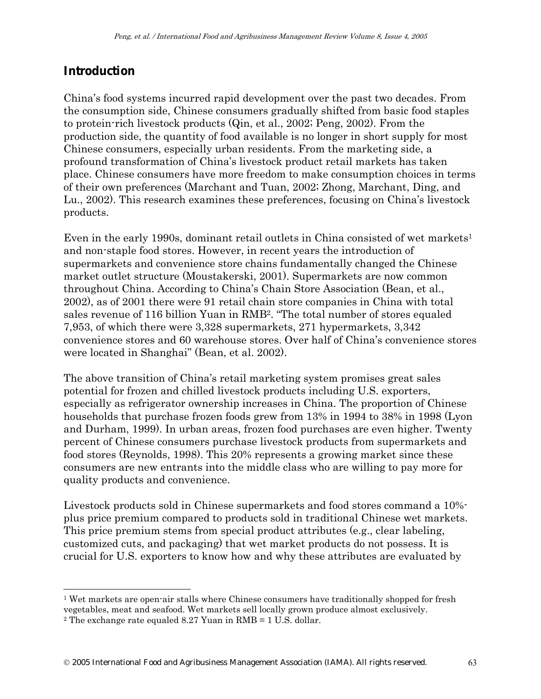## **Introduction**

China's food systems incurred rapid development over the past two decades. From the consumption side, Chinese consumers gradually shifted from basic food staples to protein-rich livestock products (Qin, et al., 2002; Peng, 2002). From the production side, the quantity of food available is no longer in short supply for most Chinese consumers, especially urban residents. From the marketing side, a profound transformation of China's livestock product retail markets has taken place. Chinese consumers have more freedom to make consumption choices in terms of their own preferences (Marchant and Tuan, 2002; Zhong, Marchant, Ding, and Lu., 2002). This research examines these preferences, focusing on China's livestock products.

Even in the early 1990s, dominant retail outlets in China consisted of wet markets<sup>1</sup> and non-staple food stores. However, in recent years the introduction of supermarkets and convenience store chains fundamentally changed the Chinese market outlet structure (Moustakerski, 2001). Supermarkets are now common throughout China. According to China's Chain Store Association (Bean, et al., 2002), as of 2001 there were 91 retail chain store companies in China with total sales revenue of 116 billion Yuan in RMB2. "The total number of stores equaled 7,953, of which there were 3,328 supermarkets, 271 hypermarkets, 3,342 convenience stores and 60 warehouse stores. Over half of China's convenience stores were located in Shanghai" (Bean, et al. 2002).

The above transition of China's retail marketing system promises great sales potential for frozen and chilled livestock products including U.S. exporters, especially as refrigerator ownership increases in China. The proportion of Chinese households that purchase frozen foods grew from 13% in 1994 to 38% in 1998 (Lyon and Durham, 1999). In urban areas, frozen food purchases are even higher. Twenty percent of Chinese consumers purchase livestock products from supermarkets and food stores (Reynolds, 1998). This 20% represents a growing market since these consumers are new entrants into the middle class who are willing to pay more for quality products and convenience.

Livestock products sold in Chinese supermarkets and food stores command a 10% plus price premium compared to products sold in traditional Chinese wet markets. This price premium stems from special product attributes (e.g., clear labeling, customized cuts, and packaging) that wet market products do not possess. It is crucial for U.S. exporters to know how and why these attributes are evaluated by

<sup>1</sup> Wet markets are open-air stalls where Chinese consumers have traditionally shopped for fresh vegetables, meat and seafood. Wet markets sell locally grown produce almost exclusively.

<sup>&</sup>lt;sup>2</sup> The exchange rate equaled 8.27 Yuan in RMB =  $1$  U.S. dollar.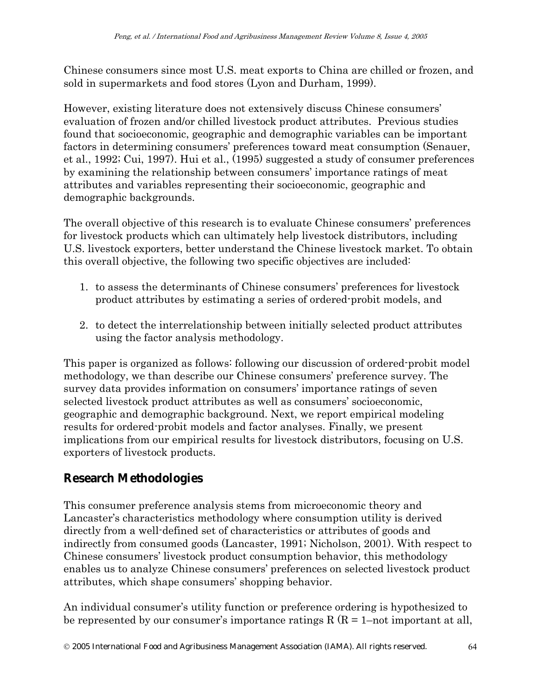Chinese consumers since most U.S. meat exports to China are chilled or frozen, and sold in supermarkets and food stores (Lyon and Durham, 1999).

However, existing literature does not extensively discuss Chinese consumers' evaluation of frozen and/or chilled livestock product attributes. Previous studies found that socioeconomic, geographic and demographic variables can be important factors in determining consumers' preferences toward meat consumption (Senauer, et al., 1992; Cui, 1997). Hui et al., (1995) suggested a study of consumer preferences by examining the relationship between consumers' importance ratings of meat attributes and variables representing their socioeconomic, geographic and demographic backgrounds.

The overall objective of this research is to evaluate Chinese consumers' preferences for livestock products which can ultimately help livestock distributors, including U.S. livestock exporters, better understand the Chinese livestock market. To obtain this overall objective, the following two specific objectives are included:

- 1. to assess the determinants of Chinese consumers' preferences for livestock product attributes by estimating a series of ordered-probit models, and
- 2. to detect the interrelationship between initially selected product attributes using the factor analysis methodology.

This paper is organized as follows: following our discussion of ordered-probit model methodology, we than describe our Chinese consumers' preference survey. The survey data provides information on consumers' importance ratings of seven selected livestock product attributes as well as consumers' socioeconomic, geographic and demographic background. Next, we report empirical modeling results for ordered-probit models and factor analyses. Finally, we present implications from our empirical results for livestock distributors, focusing on U.S. exporters of livestock products.

# **Research Methodologies**

This consumer preference analysis stems from microeconomic theory and Lancaster's characteristics methodology where consumption utility is derived directly from a well-defined set of characteristics or attributes of goods and indirectly from consumed goods (Lancaster, 1991; Nicholson, 2001). With respect to Chinese consumers' livestock product consumption behavior, this methodology enables us to analyze Chinese consumers' preferences on selected livestock product attributes, which shape consumers' shopping behavior.

An individual consumer's utility function or preference ordering is hypothesized to be represented by our consumer's importance ratings  $R(R = 1$ –not important at all,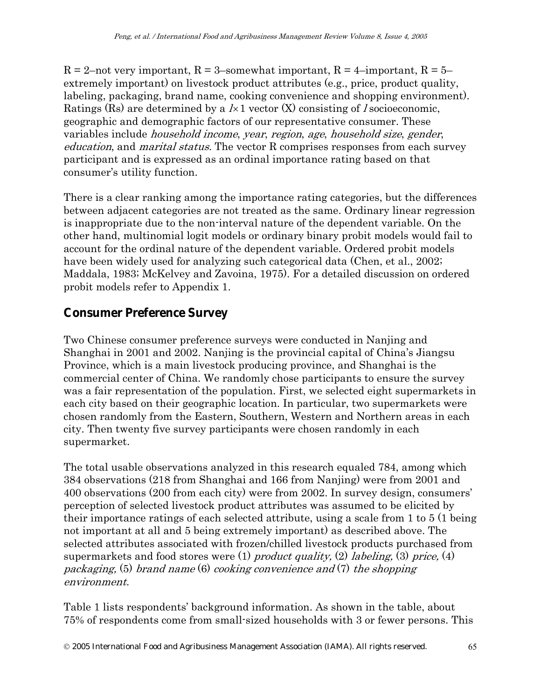$R = 2$ -not very important,  $R = 3$ -somewhat important,  $R = 4$ -important,  $R = 5$ extremely important) on livestock product attributes (e.g., price, product quality, labeling, packaging, brand name, cooking convenience and shopping environment). Ratings (Rs) are determined by a  $1\times1$  vector (X) consisting of *l* socioeconomic, geographic and demographic factors of our representative consumer. These variables include household income, year, region, age, household size, gender, education, and marital status. The vector R comprises responses from each survey participant and is expressed as an ordinal importance rating based on that consumer's utility function.

There is a clear ranking among the importance rating categories, but the differences between adjacent categories are not treated as the same. Ordinary linear regression is inappropriate due to the non-interval nature of the dependent variable. On the other hand, multinomial logit models or ordinary binary probit models would fail to account for the ordinal nature of the dependent variable. Ordered probit models have been widely used for analyzing such categorical data (Chen, et al., 2002; Maddala, 1983; McKelvey and Zavoina, 1975). For a detailed discussion on ordered probit models refer to Appendix 1.

### **Consumer Preference Survey**

Two Chinese consumer preference surveys were conducted in Nanjing and Shanghai in 2001 and 2002. Nanjing is the provincial capital of China's Jiangsu Province, which is a main livestock producing province, and Shanghai is the commercial center of China. We randomly chose participants to ensure the survey was a fair representation of the population. First, we selected eight supermarkets in each city based on their geographic location. In particular, two supermarkets were chosen randomly from the Eastern, Southern, Western and Northern areas in each city. Then twenty five survey participants were chosen randomly in each supermarket.

The total usable observations analyzed in this research equaled 784, among which 384 observations (218 from Shanghai and 166 from Nanjing) were from 2001 and 400 observations (200 from each city) were from 2002. In survey design, consumers' perception of selected livestock product attributes was assumed to be elicited by their importance ratings of each selected attribute, using a scale from 1 to 5 (1 being not important at all and 5 being extremely important) as described above. The selected attributes associated with frozen/chilled livestock products purchased from supermarkets and food stores were  $(1)$  product quality,  $(2)$  labeling,  $(3)$  price,  $(4)$ packaging, (5) brand name (6) cooking convenience and (7) the shopping environment.

Table 1 lists respondents' background information. As shown in the table, about 75% of respondents come from small-sized households with 3 or fewer persons. This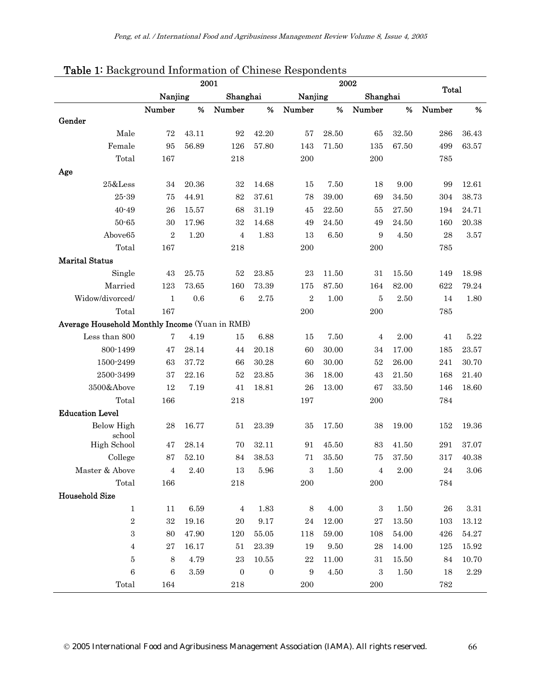|                                                | 2002<br>2001        |          |                  |                  |                |                          |                |           |            |           |
|------------------------------------------------|---------------------|----------|------------------|------------------|----------------|--------------------------|----------------|-----------|------------|-----------|
|                                                | Nanjing<br>Shanghai |          | Nanjing          |                  |                | <b>Total</b><br>Shanghai |                |           |            |           |
|                                                | Number              | %        | Number           | %                | Number         | %                        | Number         | %         | Number     | %         |
| Gender                                         |                     |          |                  |                  |                |                          |                |           |            |           |
| Male                                           | 72                  | 43.11    | 92               | 42.20            | 57             | 28.50                    | 65             | 32.50     | 286        | 36.43     |
| Female                                         | 95                  | 56.89    | 126              | 57.80            | 143            | 71.50                    | 135            | 67.50     | 499        | 63.57     |
| Total                                          | 167                 |          | 218              |                  | 200            |                          | 200            |           | 785        |           |
| Age                                            |                     |          |                  |                  |                |                          |                |           |            |           |
| $25&$ Less                                     | 34                  | 20.36    | 32               | 14.68            | 15             | 7.50                     | 18             | 9.00      | 99         | 12.61     |
| 25-39                                          | 75                  | 44.91    | 82               | 37.61            | 78             | 39.00                    | 69             | 34.50     | 304        | 38.73     |
| $40 - 49$                                      | 26                  | 15.57    | 68               | 31.19            | 45             | 22.50                    | 55             | 27.50     | 194        | 24.71     |
| 50-65                                          | 30                  | 17.96    | 32               | 14.68            | 49             | 24.50                    | 49             | $24.50\,$ | 160        | 20.38     |
| Above65                                        | $\sqrt{2}$          | 1.20     | $\overline{4}$   | 1.83             | 13             | 6.50                     | 9              | 4.50      | 28         | 3.57      |
| Total                                          | 167                 |          | 218              |                  | 200            |                          | 200            |           | 785        |           |
| <b>Marital Status</b>                          |                     |          |                  |                  |                |                          |                |           |            |           |
| Single                                         | 43                  | 25.75    | $52\,$           | $23.85\,$        | 23             | 11.50                    | 31             | 15.50     | 149        | 18.98     |
| Married                                        | 123                 | 73.65    | 160              | 73.39            | 175            | 87.50                    | 164            | 82.00     | 622        | 79.24     |
| Widow/divorced/                                | $\mathbf{1}$        | 0.6      | $\,6$            | 2.75             | $\overline{2}$ | 1.00                     | 5              | 2.50      | 14         | 1.80      |
| Total                                          | 167                 |          |                  |                  | 200            |                          | 200            |           | 785        |           |
| Average Household Monthly Income (Yuan in RMB) |                     |          |                  |                  |                |                          |                |           |            |           |
| Less than 800                                  | $\overline{7}$      | 4.19     | 15               | 6.88             | 15             | 7.50                     | 4              | 2.00      | 41         | 5.22      |
| 800-1499                                       | 47                  | 28.14    | 44               | 20.18            | 60             | 30.00                    | 34             | 17.00     | 185        | 23.57     |
| 1500-2499                                      | 63                  | 37.72    | 66               | 30.28            | 60             | 30.00                    | 52             | 26.00     | 241        | 30.70     |
| 2500-3499                                      | 37                  | 22.16    | 52               | 23.85            | 36             | 18.00                    | 43             | 21.50     | 168        | 21.40     |
| 3500&Above                                     | 12                  | 7.19     | 41               | 18.81            | 26             | 13.00                    | 67             | $33.50\,$ | 146        | 18.60     |
| Total                                          | 166                 |          | 218              |                  | 197            |                          | 200            |           | 784        |           |
| <b>Education Level</b>                         |                     |          |                  |                  |                |                          |                |           |            |           |
| <b>Below High</b><br>school                    | 28                  | 16.77    | 51               | 23.39            | 35             | 17.50                    | 38             | 19.00     | 152        | 19.36     |
| High School                                    | 47                  | 28.14    | 70               | 32.11            | 91             | 45.50                    | 83             | 41.50     | 291        | 37.07     |
| College                                        | 87                  | 52.10    | 84               | 38.53            | $71\,$         | 35.50                    | 75             | 37.50     | 317        | 40.38     |
| Master & Above                                 | $\overline{4}$      | $2.40\,$ | 13               | 5.96             | $\,3$          | 1.50                     | $\overline{4}$ | $2.00\,$  | ${\bf 24}$ | $3.06\,$  |
| Total                                          | 166                 |          | 218              |                  | 200            |                          | 200            |           | 784        |           |
| <b>Household Size</b>                          |                     |          |                  |                  |                |                          |                |           |            |           |
| $\mathbf{1}$                                   | 11                  | 6.59     | $\overline{4}$   | 1.83             | 8              | 4.00                     | $\mathbf{3}$   | 1.50      | 26         | $3.31\,$  |
| $\,2$                                          | 32                  | 19.16    | 20               | $9.17\,$         | 24             | 12.00                    | $\sqrt{27}$    | 13.50     | 103        | $13.12\,$ |
| 3                                              | 80                  | 47.90    | 120              | 55.05            | 118            | $59.00\,$                | 108            | $54.00\,$ | 426        | $54.27\,$ |
| $\overline{4}$                                 | 27                  | 16.17    | 51               | 23.39            | 19             | 9.50                     | 28             | 14.00     | 125        | 15.92     |
| 5                                              | $\,8\,$             | 4.79     | $\bf 23$         | 10.55            | $\bf 22$       | 11.00                    | 31             | 15.50     | 84         | 10.70     |
| $\,6\,$                                        | 6                   | $3.59\,$ | $\boldsymbol{0}$ | $\boldsymbol{0}$ | $\, 9$         | $4.50\,$                 | $\,3\,$        | 1.50      | 18         | $2.29\,$  |
| Total                                          | 164                 |          | 218              |                  | 200            |                          | $200\,$        |           | 782        |           |

#### Table 1: Background Information of Chinese Respondents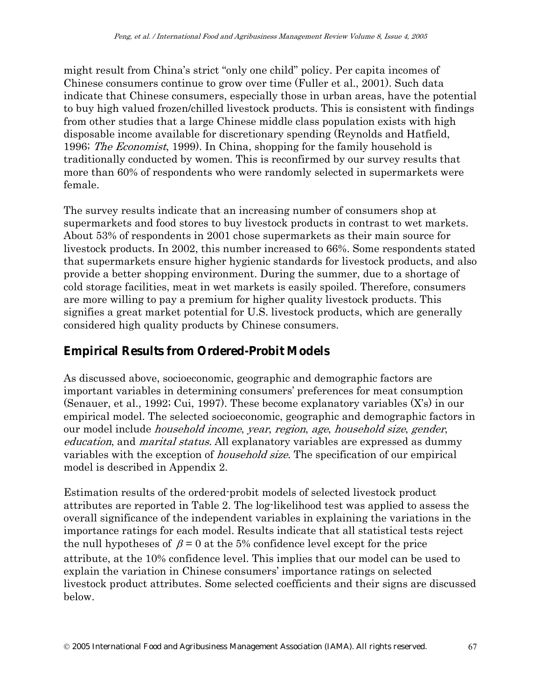might result from China's strict "only one child" policy. Per capita incomes of Chinese consumers continue to grow over time (Fuller et al., 2001). Such data indicate that Chinese consumers, especially those in urban areas, have the potential to buy high valued frozen/chilled livestock products. This is consistent with findings from other studies that a large Chinese middle class population exists with high disposable income available for discretionary spending (Reynolds and Hatfield, 1996; The Economist, 1999). In China, shopping for the family household is traditionally conducted by women. This is reconfirmed by our survey results that more than 60% of respondents who were randomly selected in supermarkets were female.

The survey results indicate that an increasing number of consumers shop at supermarkets and food stores to buy livestock products in contrast to wet markets. About 53% of respondents in 2001 chose supermarkets as their main source for livestock products. In 2002, this number increased to 66%. Some respondents stated that supermarkets ensure higher hygienic standards for livestock products, and also provide a better shopping environment. During the summer, due to a shortage of cold storage facilities, meat in wet markets is easily spoiled. Therefore, consumers are more willing to pay a premium for higher quality livestock products. This signifies a great market potential for U.S. livestock products, which are generally considered high quality products by Chinese consumers.

### **Empirical Results from Ordered-Probit Models**

As discussed above, socioeconomic, geographic and demographic factors are important variables in determining consumers' preferences for meat consumption (Senauer, et al., 1992; Cui, 1997). These become explanatory variables (X's) in our empirical model. The selected socioeconomic, geographic and demographic factors in our model include household income, year, region, age, household size, gender, education, and marital status. All explanatory variables are expressed as dummy variables with the exception of *household size*. The specification of our empirical model is described in Appendix 2.

Estimation results of the ordered-probit models of selected livestock product attributes are reported in Table 2. The log-likelihood test was applied to assess the overall significance of the independent variables in explaining the variations in the importance ratings for each model. Results indicate that all statistical tests reject the null hypotheses of  $\beta = 0$  at the 5% confidence level except for the price attribute, at the 10% confidence level. This implies that our model can be used to explain the variation in Chinese consumers' importance ratings on selected livestock product attributes. Some selected coefficients and their signs are discussed below.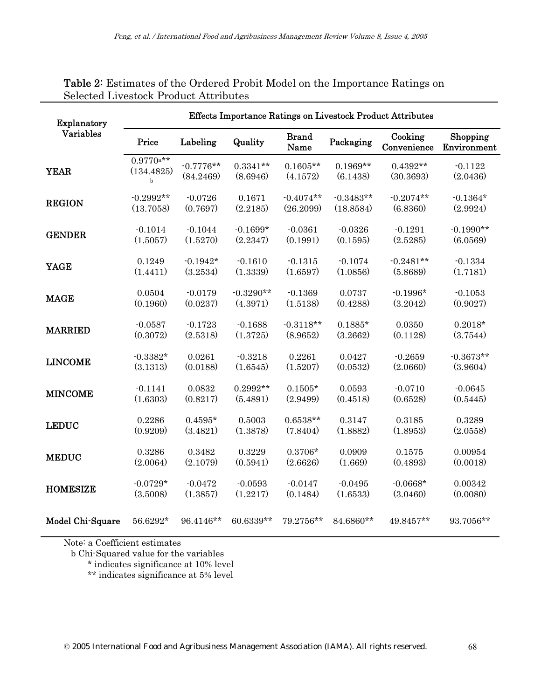| Explanatory        | Effects Importance Ratings on Livestock Product Attributes |                          |                        |                        |                        |                         |                         |  |  |
|--------------------|------------------------------------------------------------|--------------------------|------------------------|------------------------|------------------------|-------------------------|-------------------------|--|--|
| Variables<br>Price |                                                            | Labeling                 | Quality                | <b>Brand</b><br>Name   | Packaging              | Cooking<br>Convenience  | Shopping<br>Environment |  |  |
| <b>YEAR</b>        | $0.9770$ a**<br>(134.4825)<br>$\mathbf b$                  | $-0.7776**$<br>(84.2469) | $0.3341**$<br>(8.6946) | $0.1605**$<br>(4.1572) | $0.1969**$<br>(6.1438) | $0.4392**$<br>(30.3693) | $-0.1122$<br>(2.0436)   |  |  |
| <b>REGION</b>      | $-0.2992**$                                                | $-0.0726$                | 0.1671                 | $-0.4074**$            | $-0.3483**$            | $-0.2074**$             | $-0.1364*$              |  |  |
|                    | (13.7058)                                                  | (0.7697)                 | (2.2185)               | (26.2099)              | (18.8584)              | (6.8360)                | (2.9924)                |  |  |
| <b>GENDER</b>      | $-0.1014$                                                  | $-0.1044$                | $-0.1699*$             | $-0.0361$              | $-0.0326$              | $-0.1291$               | $-0.1990**$             |  |  |
|                    | (1.5057)                                                   | (1.5270)                 | (2.2347)               | (0.1991)               | (0.1595)               | (2.5285)                | (6.0569)                |  |  |
| <b>YAGE</b>        | 0.1249                                                     | $-0.1942*$               | $-0.1610$              | $-0.1315$              | $-0.1074$              | $-0.2481**$             | $-0.1334$               |  |  |
|                    | (1.4411)                                                   | (3.2534)                 | (1.3339)               | (1.6597)               | (1.0856)               | (5.8689)                | (1.7181)                |  |  |
| <b>MAGE</b>        | 0.0504                                                     | $-0.0179$                | $-0.3290**$            | $-0.1369$              | 0.0737                 | $-0.1996*$              | $-0.1053$               |  |  |
|                    | (0.1960)                                                   | (0.0237)                 | (4.3971)               | (1.5138)               | (0.4288)               | (3.2042)                | (0.9027)                |  |  |
| <b>MARRIED</b>     | $-0.0587$                                                  | $-0.1723$                | $-0.1688$              | $-0.3118**$            | $0.1885*$              | 0.0350                  | $0.2018*$               |  |  |
|                    | (0.3072)                                                   | (2.5318)                 | (1.3725)               | (8.9652)               | (3.2662)               | (0.1128)                | (3.7544)                |  |  |
| <b>LINCOME</b>     | $-0.3382*$                                                 | 0.0261                   | $-0.3218$              | 0.2261                 | 0.0427                 | $-0.2659$               | $-0.3673**$             |  |  |
|                    | (3.1313)                                                   | (0.0188)                 | (1.6545)               | (1.5207)               | (0.0532)               | (2.0660)                | (3.9604)                |  |  |
| <b>MINCOME</b>     | $-0.1141$                                                  | 0.0832                   | $0.2992**$             | $0.1505*$              | 0.0593                 | $-0.0710$               | $-0.0645$               |  |  |
|                    | (1.6303)                                                   | (0.8217)                 | (5.4891)               | (2.9499)               | (0.4518)               | (0.6528)                | (0.5445)                |  |  |
| <b>LEDUC</b>       | 0.2286                                                     | $0.4595*$                | 0.5003                 | $0.6538**$             | 0.3147                 | 0.3185                  | 0.3289                  |  |  |
|                    | (0.9209)                                                   | (3.4821)                 | (1.3878)               | (7.8404)               | (1.8882)               | (1.8953)                | (2.0558)                |  |  |
| <b>MEDUC</b>       | 0.3286                                                     | 0.3482                   | 0.3229                 | $0.3706*$              | 0.0909                 | 0.1575                  | 0.00954                 |  |  |
|                    | (2.0064)                                                   | (2.1079)                 | (0.5941)               | (2.6626)               | (1.669)                | (0.4893)                | (0.0018)                |  |  |
| <b>HOMESIZE</b>    | $-0.0729*$                                                 | $-0.0472$                | $-0.0593$              | $-0.0147$              | $-0.0495$              | $-0.0668*$              | 0.00342                 |  |  |
|                    | (3.5008)                                                   | (1.3857)                 | (1.2217)               | (0.1484)               | (1.6533)               | (3.0460)                | (0.0080)                |  |  |
| Model Chi-Square   | 56.6292*                                                   | 96.4146**                | 60.6339**              | 79.2756**              | 84.6860**              | 49.8457**               | 93.7056**               |  |  |

#### Table 2: Estimates of the Ordered Probit Model on the Importance Ratings on Selected Livestock Product Attributes

Note: a Coefficient estimates

b Chi-Squared value for the variables

\* indicates significance at 10% level

\*\* indicates significance at 5% level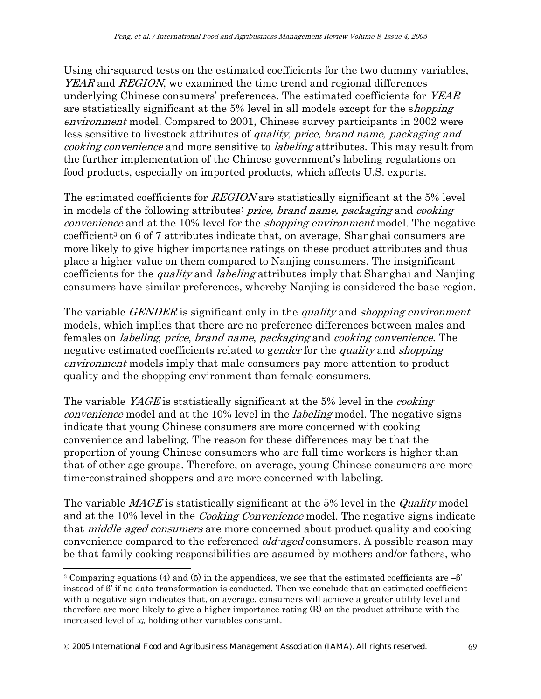Using chi-squared tests on the estimated coefficients for the two dummy variables, YEAR and REGION, we examined the time trend and regional differences underlying Chinese consumers' preferences. The estimated coefficients for *YEAR* are statistically significant at the 5% level in all models except for the shopping environment model. Compared to 2001, Chinese survey participants in 2002 were less sensitive to livestock attributes of quality, price, brand name, packaging and cooking convenience and more sensitive to labeling attributes. This may result from the further implementation of the Chinese government's labeling regulations on food products, especially on imported products, which affects U.S. exports.

The estimated coefficients for *REGION* are statistically significant at the 5% level in models of the following attributes: price, brand name, packaging and cooking convenience and at the 10% level for the *shopping environment* model. The negative coefficient3 on 6 of 7 attributes indicate that, on average, Shanghai consumers are more likely to give higher importance ratings on these product attributes and thus place a higher value on them compared to Nanjing consumers. The insignificant coefficients for the *quality* and *labeling* attributes imply that Shanghai and Nanjing consumers have similar preferences, whereby Nanjing is considered the base region.

The variable *GENDER* is significant only in the *quality* and *shopping environment* models, which implies that there are no preference differences between males and females on labeling, price, brand name, packaging and cooking convenience. The negative estimated coefficients related to gender for the quality and shopping environment models imply that male consumers pay more attention to product quality and the shopping environment than female consumers.

The variable *YAGE* is statistically significant at the 5% level in the *cooking* convenience model and at the 10% level in the *labeling* model. The negative signs indicate that young Chinese consumers are more concerned with cooking convenience and labeling. The reason for these differences may be that the proportion of young Chinese consumers who are full time workers is higher than that of other age groups. Therefore, on average, young Chinese consumers are more time-constrained shoppers and are more concerned with labeling.

The variable *MAGE* is statistically significant at the 5% level in the *Quality* model and at the 10% level in the *Cooking Convenience* model. The negative signs indicate that *middle-aged consumers* are more concerned about product quality and cooking convenience compared to the referenced *old-aged* consumers. A possible reason may be that family cooking responsibilities are assumed by mothers and/or fathers, who

<sup>&</sup>lt;sup>3</sup> Comparing equations (4) and (5) in the appendices, we see that the estimated coefficients are –β' instead of β' if no data transformation is conducted. Then we conclude that an estimated coefficient with a negative sign indicates that, on average, consumers will achieve a greater utility level and therefore are more likely to give a higher importance rating (R) on the product attribute with the increased level of xi, holding other variables constant.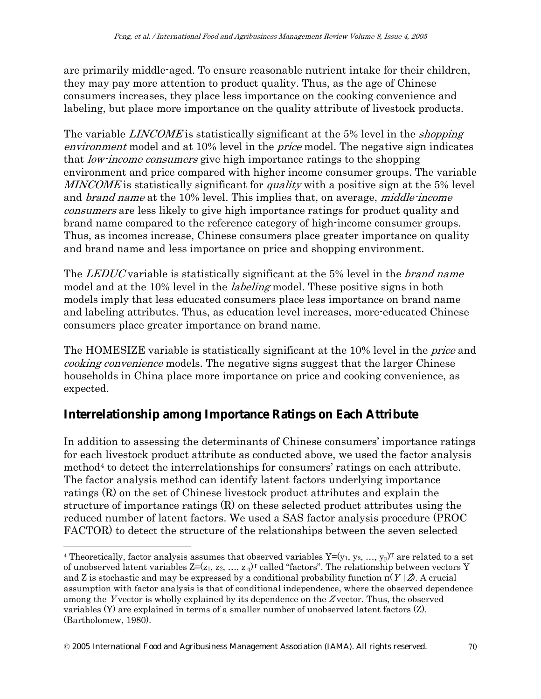are primarily middle-aged. To ensure reasonable nutrient intake for their children, they may pay more attention to product quality. Thus, as the age of Chinese consumers increases, they place less importance on the cooking convenience and labeling, but place more importance on the quality attribute of livestock products.

The variable LINCOME is statistically significant at the 5% level in the *shopping* environment model and at 10% level in the *price* model. The negative sign indicates that low-income consumers give high importance ratings to the shopping environment and price compared with higher income consumer groups. The variable MINCOME is statistically significant for *quality* with a positive sign at the 5% level and *brand name* at the 10% level. This implies that, on average, *middle-income* consumers are less likely to give high importance ratings for product quality and brand name compared to the reference category of high-income consumer groups. Thus, as incomes increase, Chinese consumers place greater importance on quality and brand name and less importance on price and shopping environment.

The *LEDUC* variable is statistically significant at the 5% level in the *brand name* model and at the 10% level in the *labeling* model. These positive signs in both models imply that less educated consumers place less importance on brand name and labeling attributes. Thus, as education level increases, more-educated Chinese consumers place greater importance on brand name.

The HOMESIZE variable is statistically significant at the 10% level in the *price* and cooking convenience models. The negative signs suggest that the larger Chinese households in China place more importance on price and cooking convenience, as expected.

### **Interrelationship among Importance Ratings on Each Attribute**

In addition to assessing the determinants of Chinese consumers' importance ratings for each livestock product attribute as conducted above, we used the factor analysis method<sup>4</sup> to detect the interrelationships for consumers' ratings on each attribute. The factor analysis method can identify latent factors underlying importance ratings (R) on the set of Chinese livestock product attributes and explain the structure of importance ratings (R) on these selected product attributes using the reduced number of latent factors. We used a SAS factor analysis procedure (PROC FACTOR) to detect the structure of the relationships between the seven selected

<sup>&</sup>lt;sup>4</sup> Theoretically, factor analysis assumes that observed variables  $Y=(y_1, y_2, ..., y_p)^T$  are related to a set of unobserved latent variables  $Z=(z_1, z_2, ..., z_q)^T$  called "factors". The relationship between vectors Y and Z is stochastic and may be expressed by a conditional probability function  $\pi(Y|\mathcal{Z})$ . A crucial assumption with factor analysis is that of conditional independence, where the observed dependence among the Y vector is wholly explained by its dependence on the Z vector. Thus, the observed variables (Y) are explained in terms of a smaller number of unobserved latent factors (Z). (Bartholomew, 1980).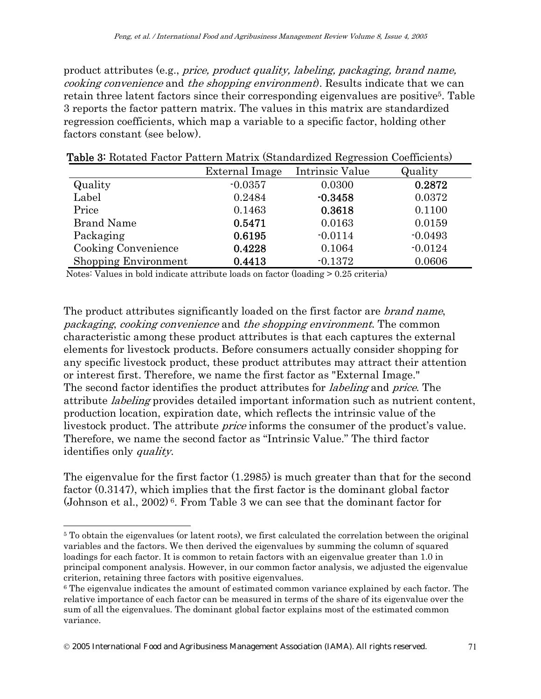product attributes (e.g., price, product quality, labeling, packaging, brand name, cooking convenience and the shopping environment). Results indicate that we can retain three latent factors since their corresponding eigenvalues are positive<sup>5</sup>. Table 3 reports the factor pattern matrix. The values in this matrix are standardized regression coefficients, which map a variable to a specific factor, holding other factors constant (see below).

|                             | External Image | Intrinsic Value | Quality   |
|-----------------------------|----------------|-----------------|-----------|
| Quality                     | $-0.0357$      | 0.0300          | 0.2872    |
| Label                       | 0.2484         | $-0.3458$       | 0.0372    |
| Price                       | 0.1463         | 0.3618          | 0.1100    |
| <b>Brand Name</b>           | 0.5471         | 0.0163          | 0.0159    |
| Packaging                   | 0.6195         | $-0.0114$       | $-0.0493$ |
| <b>Cooking Convenience</b>  | 0.4228         | 0.1064          | $-0.0124$ |
| <b>Shopping Environment</b> | 0.4413         | $-0.1372$       | 0.0606    |

Table 3: Rotated Factor Pattern Matrix (Standardized Regression Coefficients)

Notes: Values in bold indicate attribute loads on factor (loading > 0.25 criteria)

The product attributes significantly loaded on the first factor are *brand name*, packaging, cooking convenience and the shopping environment. The common characteristic among these product attributes is that each captures the external elements for livestock products. Before consumers actually consider shopping for any specific livestock product, these product attributes may attract their attention or interest first. Therefore, we name the first factor as "External Image." The second factor identifies the product attributes for labeling and price. The attribute labeling provides detailed important information such as nutrient content, production location, expiration date, which reflects the intrinsic value of the livestock product. The attribute *price* informs the consumer of the product's value. Therefore, we name the second factor as "Intrinsic Value." The third factor identifies only quality.

The eigenvalue for the first factor (1.2985) is much greater than that for the second factor (0.3147), which implies that the first factor is the dominant global factor (Johnson et al., 2002)<sup>6</sup>. From Table 3 we can see that the dominant factor for

© 2005 International Food and Agribusiness Management Association (IAMA). All rights reserved. 71

<sup>&</sup>lt;sup>5</sup> To obtain the eigenvalues (or latent roots), we first calculated the correlation between the original variables and the factors. We then derived the eigenvalues by summing the column of squared loadings for each factor. It is common to retain factors with an eigenvalue greater than 1.0 in principal component analysis. However, in our common factor analysis, we adjusted the eigenvalue criterion, retaining three factors with positive eigenvalues.

<sup>6</sup> The eigenvalue indicates the amount of estimated common variance explained by each factor. The relative importance of each factor can be measured in terms of the share of its eigenvalue over the sum of all the eigenvalues. The dominant global factor explains most of the estimated common variance.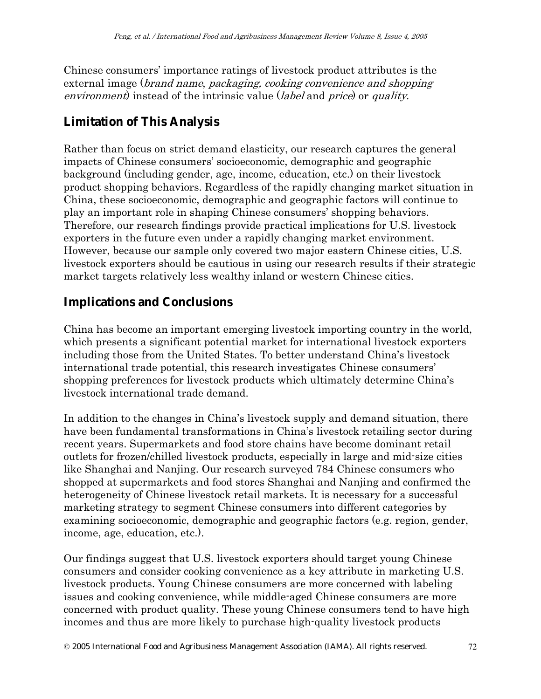Chinese consumers' importance ratings of livestock product attributes is the external image (brand name, packaging, cooking convenience and shopping environment) instead of the intrinsic value (*label* and *price*) or *quality*.

## **Limitation of This Analysis**

Rather than focus on strict demand elasticity, our research captures the general impacts of Chinese consumers' socioeconomic, demographic and geographic background (including gender, age, income, education, etc.) on their livestock product shopping behaviors. Regardless of the rapidly changing market situation in China, these socioeconomic, demographic and geographic factors will continue to play an important role in shaping Chinese consumers' shopping behaviors. Therefore, our research findings provide practical implications for U.S. livestock exporters in the future even under a rapidly changing market environment. However, because our sample only covered two major eastern Chinese cities, U.S. livestock exporters should be cautious in using our research results if their strategic market targets relatively less wealthy inland or western Chinese cities.

## **Implications and Conclusions**

China has become an important emerging livestock importing country in the world, which presents a significant potential market for international livestock exporters including those from the United States. To better understand China's livestock international trade potential, this research investigates Chinese consumers' shopping preferences for livestock products which ultimately determine China's livestock international trade demand.

In addition to the changes in China's livestock supply and demand situation, there have been fundamental transformations in China's livestock retailing sector during recent years. Supermarkets and food store chains have become dominant retail outlets for frozen/chilled livestock products, especially in large and mid-size cities like Shanghai and Nanjing. Our research surveyed 784 Chinese consumers who shopped at supermarkets and food stores Shanghai and Nanjing and confirmed the heterogeneity of Chinese livestock retail markets. It is necessary for a successful marketing strategy to segment Chinese consumers into different categories by examining socioeconomic, demographic and geographic factors (e.g. region, gender, income, age, education, etc.).

Our findings suggest that U.S. livestock exporters should target young Chinese consumers and consider cooking convenience as a key attribute in marketing U.S. livestock products. Young Chinese consumers are more concerned with labeling issues and cooking convenience, while middle-aged Chinese consumers are more concerned with product quality. These young Chinese consumers tend to have high incomes and thus are more likely to purchase high-quality livestock products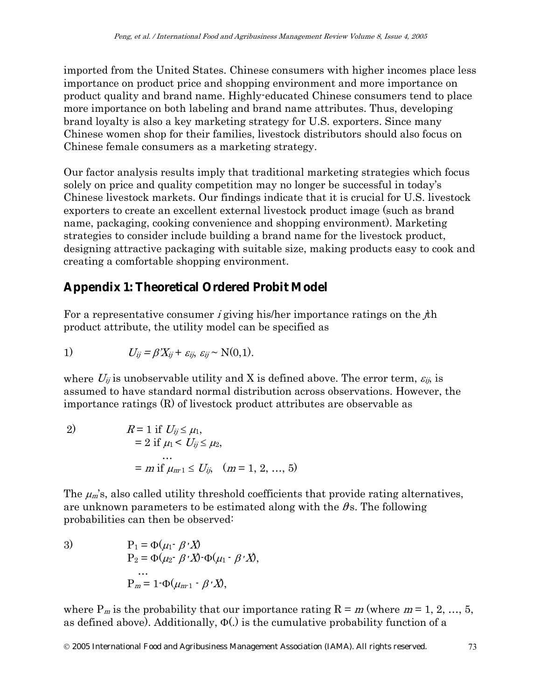imported from the United States. Chinese consumers with higher incomes place less importance on product price and shopping environment and more importance on product quality and brand name. Highly-educated Chinese consumers tend to place more importance on both labeling and brand name attributes. Thus, developing brand loyalty is also a key marketing strategy for U.S. exporters. Since many Chinese women shop for their families, livestock distributors should also focus on Chinese female consumers as a marketing strategy.

Our factor analysis results imply that traditional marketing strategies which focus solely on price and quality competition may no longer be successful in today's Chinese livestock markets. Our findings indicate that it is crucial for U.S. livestock exporters to create an excellent external livestock product image (such as brand name, packaging, cooking convenience and shopping environment). Marketing strategies to consider include building a brand name for the livestock product, designing attractive packaging with suitable size, making products easy to cook and creating a comfortable shopping environment.

# **Appendix 1: Theoretical Ordered Probit Model**

For a representative consumer *i* giving his/her importance ratings on the  $i$ th product attribute, the utility model can be specified as

1) 
$$
U_{ij} = \beta' X_{ij} + \varepsilon_{ij}, \varepsilon_{ij} \sim N(0,1).
$$

where  $U_{ij}$  is unobservable utility and X is defined above. The error term,  $\varepsilon_{ij}$ , is assumed to have standard normal distribution across observations. However, the importance ratings (R) of livestock product attributes are observable as

2) 
$$
R = 1 \text{ if } U_{ij} \le \mu_1, = 2 \text{ if } \mu_1 < U_{ij} \le \mu_2, ... = m \text{ if } \mu_{m-1} \le U_{ij}, \quad (m = 1, 2, ..., 5)
$$

The  $\mu_m$ 's, also called utility threshold coefficients that provide rating alternatives, are unknown parameters to be estimated along with the  $\theta$ s. The following probabilities can then be observed:

3)  $P_1 = \Phi(\mu_1 \cdot \beta' \cdot X)$  $P_2 = \Phi(\mu_2 \cdot \beta' \cdot X) \cdot \Phi(\mu_1 \cdot \beta' \cdot X),$ …  $P_m = 1-\Phi(\mu_{m-1} - \beta'X),$ 

where  $P_m$  is the probability that our importance rating  $R = m$  (where  $m = 1, 2, ..., 5$ , as defined above). Additionally,  $\Phi(.)$  is the cumulative probability function of a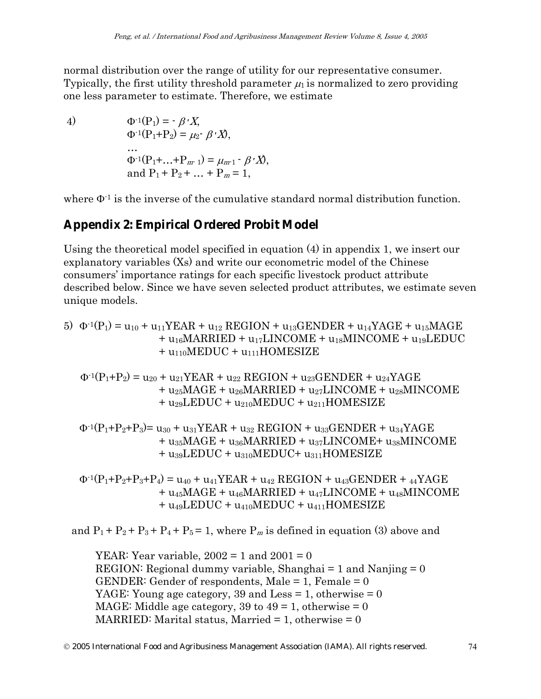normal distribution over the range of utility for our representative consumer. Typically, the first utility threshold parameter  $\mu_1$  is normalized to zero providing one less parameter to estimate. Therefore, we estimate

4)  $\Phi^{-1}(P_1) = -\beta' X$  $Φ<sup>-1</sup>(P<sub>1</sub>+P<sub>2</sub>) = μ<sub>2</sub>·B'X$ …  $Φ<sup>-1</sup>(P<sub>1</sub>+...+P<sub>m-1</sub>) = μ<sub>m-1</sub> - β'X$ , and  $P_1 + P_2 + ... + P_m = 1$ ,

where  $\Phi$ <sup>1</sup> is the inverse of the cumulative standard normal distribution function.

## **Appendix 2: Empirical Ordered Probit Model**

Using the theoretical model specified in equation (4) in appendix 1, we insert our explanatory variables (Xs) and write our econometric model of the Chinese consumers' importance ratings for each specific livestock product attribute described below. Since we have seven selected product attributes, we estimate seven unique models.

5) 
$$
\Phi^{-1}(P_1) = u_{10} + u_{11}YEAR + u_{12} REGION + u_{13}GENDER + u_{14}YAGE + u_{15}MACE + u_{16}MARRED + u_{17}LINCOME + u_{18}MINCOME + u_{19}LEDUC + u_{110} MEDUC + u_{111}HOMESIZE
$$

$$
\begin{aligned} \Phi^\text{-1}(P_1\text{+}P_2) &= u_{20} + u_{21}YEAR + u_{22} \; REGION + u_{23}GENDER + u_{24}YAGE \\ &+ u_{25}MAGE + u_{26}MARRIED + u_{27}LINCOME + u_{28}MINCOMP \\ &+ u_{29}LEDUC + u_{210}MEDUC + u_{211}HOMESIZE \end{aligned}
$$

$$
\begin{aligned} \Phi^{ \text{-} 1} (P_1 + P_2 + P_3) &= u_{30} + u_{31} Y E A R + u_{32} \; REGION + u_{33} G E N D E R + u_{34} Y A G E \\ &+ u_{35} M A G E + u_{36} M A R R I E D + u_{37} L INCOME + u_{38} M INCOME \\ &+ u_{39} L E D U C + u_{310} M E D U C + u_{311} H O M E S I Z E \end{aligned}
$$

 $\Phi^{-1}(P_1+P_2+P_3+P_4) = u_{40} + u_{41}YEAR + u_{42} REGION + u_{43} GENDER + u_{44}YAGE$  $+ u_{45}MAGE + u_{46}MARRIED + u_{47}LINCOME + u_{48}MINCOMP$  $+ u_{49}$ LEDUC  $+ u_{410}$ MEDUC  $+ u_{411}$ HOMESIZE

and  $P_1 + P_2 + P_3 + P_4 + P_5 = 1$ , where  $P_m$  is defined in equation (3) above and

YEAR: Year variable,  $2002 = 1$  and  $2001 = 0$ REGION: Regional dummy variable, Shanghai  $= 1$  and Nanjing  $= 0$ GENDER: Gender of respondents, Male  $= 1$ , Female  $= 0$ YAGE: Young age category, 39 and Less = 1, otherwise = 0 MAGE: Middle age category, 39 to  $49 = 1$ , otherwise  $= 0$ MARRIED: Marital status, Married  $= 1$ , otherwise  $= 0$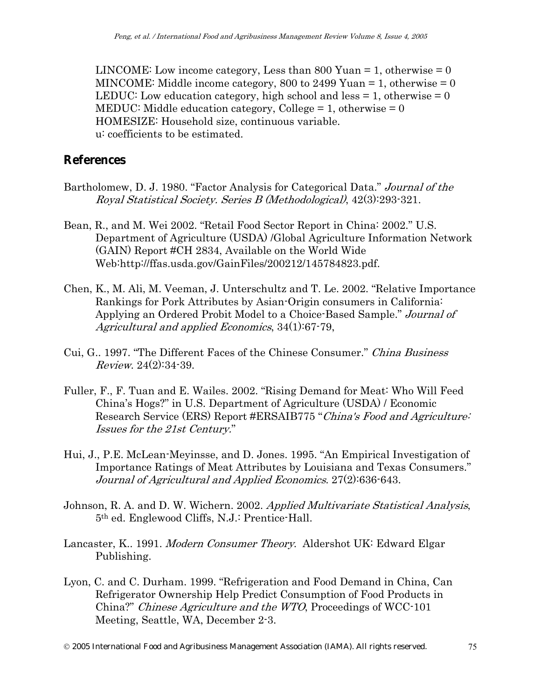LINCOME: Low income category, Less than 800 Yuan  $= 1$ , otherwise  $= 0$ MINCOME: Middle income category, 800 to 2499 Yuan  $= 1$ , otherwise  $= 0$ LEDUC: Low education category, high school and less  $= 1$ , otherwise  $= 0$ MEDUC: Middle education category, College  $= 1$ , otherwise  $= 0$ HOMESIZE: Household size, continuous variable. u: coefficients to be estimated.

### **References**

- Bartholomew, D. J. 1980. "Factor Analysis for Categorical Data." Journal of the Royal Statistical Society. Series B (Methodological), 42(3):293-321.
- Bean, R., and M. Wei 2002. "Retail Food Sector Report in China: 2002." U.S. Department of Agriculture (USDA) /Global Agriculture Information Network (GAIN) Report #CH 2834, Available on the World Wide Web:http://ffas.usda.gov/GainFiles/200212/145784823.pdf.
- Chen, K., M. Ali, M. Veeman, J. Unterschultz and T. Le. 2002. "Relative Importance Rankings for Pork Attributes by Asian-Origin consumers in California: Applying an Ordered Probit Model to a Choice-Based Sample." Journal of Agricultural and applied Economics, 34(1):67-79,
- Cui, G.. 1997. "The Different Faces of the Chinese Consumer." China Business Review. 24(2):34-39.
- Fuller, F., F. Tuan and E. Wailes. 2002. "Rising Demand for Meat: Who Will Feed China's Hogs?" in U.S. Department of Agriculture (USDA) / Economic Research Service (ERS) Report #ERSAIB775 "China's Food and Agriculture. Issues for the 21st Century."
- Hui, J., P.E. McLean-Meyinsse, and D. Jones. 1995. "An Empirical Investigation of Importance Ratings of Meat Attributes by Louisiana and Texas Consumers." Journal of Agricultural and Applied Economics. 27(2):636-643.
- Johnson, R. A. and D. W. Wichern. 2002. Applied Multivariate Statistical Analysis, 5th ed. Englewood Cliffs, N.J.: Prentice-Hall.
- Lancaster, K.. 1991. Modern Consumer Theory. Aldershot UK: Edward Elgar Publishing.
- Lyon, C. and C. Durham. 1999. "Refrigeration and Food Demand in China, Can Refrigerator Ownership Help Predict Consumption of Food Products in China?" Chinese Agriculture and the WTO, Proceedings of WCC-101 Meeting, Seattle, WA, December 2-3.